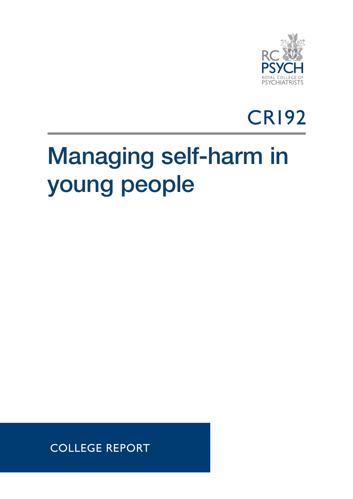



## Managing self-harm in young people

COLLEGE REPORT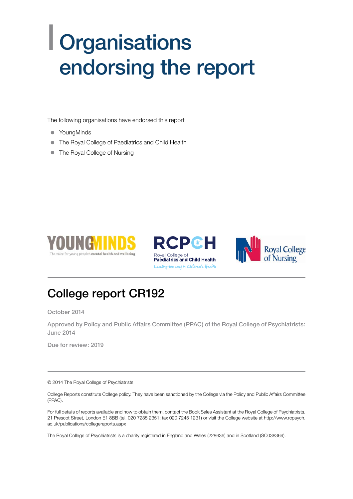## | Organisations endorsing the report

The following organisations have endorsed this report

- YoungMinds
- The Royal College of Paediatrics and Child Health
- The Royal College of Nursing







## College report CR192

October 2014

Approved by Policy and Public Affairs Committee (PPAC) of the Royal College of Psychiatrists: June 2014

Due for review: 2019

© 2014 The Royal College of Psychiatrists

College Reports constitute College policy. They have been sanctioned by the College via the Policy and Public Affairs Committee (PPAC).

For full details of reports available and how to obtain them, contact the Book Sales Assistant at the Royal College of Psychiatrists, 21 Prescot Street, London E1 8BB (tel. 020 7235 2351; fax 020 7245 1231) or visit the College website at http://www.rcpsych. ac.uk/publications/collegereports.aspx

The Royal College of Psychiatrists is a charity registered in England and Wales (228636) and in Scotland (SC038369).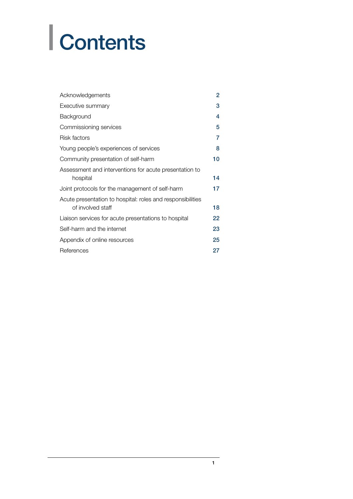# | Contents

| Acknowledgements                                                                | $\overline{2}$ |
|---------------------------------------------------------------------------------|----------------|
| Executive summary                                                               | 3              |
| Background                                                                      | 4              |
| Commissioning services                                                          | 5              |
| Risk factors                                                                    | 7              |
| Young people's experiences of services                                          | 8              |
| Community presentation of self-harm                                             | 10             |
| Assessment and interventions for acute presentation to<br>hospital              | 14             |
| Joint protocols for the management of self-harm                                 | 17             |
| Acute presentation to hospital: roles and responsibilities<br>of involved staff | 18             |
| Liaison services for acute presentations to hospital                            | 22             |
| Self-harm and the internet                                                      | 23             |
| Appendix of online resources                                                    | 25             |
| References                                                                      | 27             |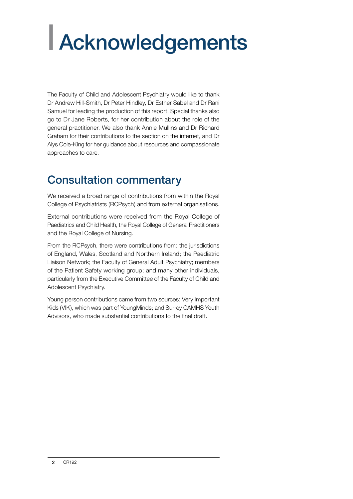# <span id="page-3-0"></span>| Acknowledgements

The Faculty of Child and Adolescent Psychiatry would like to thank Dr Andrew Hill-Smith, Dr Peter Hindley, Dr Esther Sabel and Dr Rani Samuel for leading the production of this report. Special thanks also go to Dr Jane Roberts, for her contribution about the role of the general practitioner. We also thank Annie Mullins and Dr Richard Graham for their contributions to the section on the internet, and Dr Alys Cole-King for her guidance about resources and compassionate approaches to care.

## Consultation commentary

We received a broad range of contributions from within the Royal College of Psychiatrists (RCPsych) and from external organisations.

External contributions were received from the Royal College of Paediatrics and Child Health, the Royal College of General Practitioners and the Royal College of Nursing.

From the RCPsych, there were contributions from: the jurisdictions of England, Wales, Scotland and Northern Ireland; the Paediatric Liaison Network; the Faculty of General Adult Psychiatry; members of the Patient Safety working group; and many other individuals, particularly from the Executive Committee of the Faculty of Child and Adolescent Psychiatry.

Young person contributions came from two sources: Very Important Kids (VIK), which was part of YoungMinds; and Surrey CAMHS Youth Advisors, who made substantial contributions to the final draft.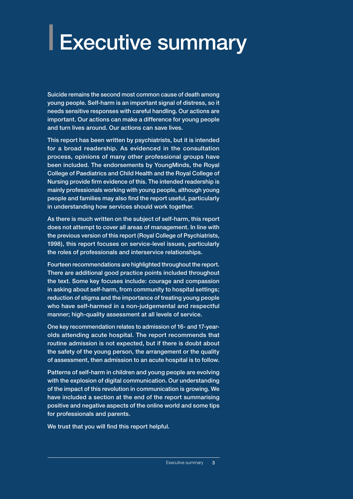# <span id="page-4-0"></span>| Executive summary

Suicide remains the second most common cause of death among young people. Self-harm is an important signal of distress, so it needs sensitive responses with careful handling. Our actions are important. Our actions can make a difference for young people and turn lives around. Our actions can save lives.

This report has been written by psychiatrists, but it is intended for a broad readership. As evidenced in the consultation process, opinions of many other professional groups have been included. The endorsements by YoungMinds, the Royal College of Paediatrics and Child Health and the Royal College of Nursing provide firm evidence of this. The intended readership is mainly professionals working with young people, although young people and families may also find the report useful, particularly in understanding how services should work together.

As there is much written on the subject of self-harm, this report does not attempt to cover all areas of management. In line with the previous version of this report (Royal College of Psychiatrists, 1998), this report focuses on service-level issues, particularly the roles of professionals and interservice relationships.

Fourteen recommendations are highlighted throughout the report. There are additional good practice points included throughout the text. Some key focuses include: courage and compassion in asking about self-harm, from community to hospital settings; reduction of stigma and the importance of treating young people who have self-harmed in a non-judgemental and respectful manner; high-quality assessment at all levels of service.

One key recommendation relates to admission of 16- and 17-yearolds attending acute hospital. The report recommends that routine admission is not expected, but if there is doubt about the safety of the young person, the arrangement or the quality of assessment, then admission to an acute hospital is to follow.

Patterns of self-harm in children and young people are evolving with the explosion of digital communication. Our understanding of the impact of this revolution in communication is growing. We have included a section at the end of the report summarising positive and negative aspects of the online world and some tips for professionals and parents.

We trust that you will find this report helpful.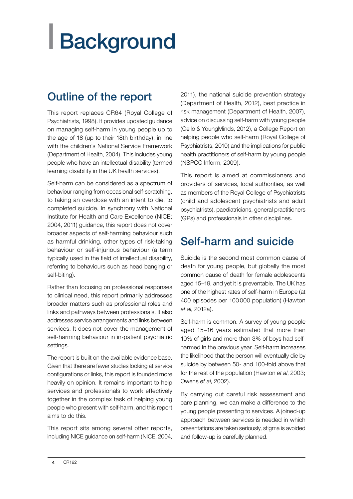# <span id="page-5-0"></span>| Background

## Outline of the report

This report replaces CR64 (Royal College of Psychiatrists, 1998). It provides updated guidance on managing self-harm in young people up to the age of 18 (up to their 18th birthday), in line with the children's National Service Framework (Department of Health, 2004). This includes young people who have an intellectual disability (termed learning disability in the UK health services).

Self-harm can be considered as a spectrum of behaviour ranging from occasional self-scratching, to taking an overdose with an intent to die, to completed suicide. In synchrony with National Institute for Health and Care Excellence (NICE; 2004, 2011) guidance, this report does not cover broader aspects of self-harming behaviour such as harmful drinking, other types of risk-taking behaviour or self-injurious behaviour (a term typically used in the field of intellectual disability, referring to behaviours such as head banging or self-biting).

Rather than focusing on professional responses to clinical need, this report primarily addresses broader matters such as professional roles and links and pathways between professionals. It also addresses service arrangements and links between services. It does not cover the management of self-harming behaviour in in-patient psychiatric settings.

The report is built on the available evidence base. Given that there are fewer studies looking at service configurations or links, this report is founded more heavily on opinion. It remains important to help services and professionals to work effectively together in the complex task of helping young people who present with self-harm, and this report aims to do this.

This report sits among several other reports, including NICE guidance on self-harm (NICE, 2004, 2011), the national suicide prevention strategy (Department of Health, 2012), best practice in risk management (Department of Health, 2007), advice on discussing self-harm with young people (Cello & YoungMinds, 2012), a College Report on helping people who self-harm (Royal College of Psychiatrists, 2010) and the implications for public health practitioners of self-harm by young people (NSPCC Inform, 2009).

This report is aimed at commissioners and providers of services, local authorities, as well as members of the Royal College of Psychiatrists (child and adolescent psychiatrists and adult psychiatrists), paediatricians, general practitioners (GPs) and professionals in other disciplines.

## Self-harm and suicide

Suicide is the second most common cause of death for young people, but globally the most common cause of death for female adolescents aged 15–19, and yet it is preventable. The UK has one of the highest rates of self-harm in Europe (at 400 episodes per 100000 population) (Hawton *et al*, 2012a).

Self-harm is common. A survey of young people aged 15–16 years estimated that more than 10% of girls and more than 3% of boys had selfharmed in the previous year. Self-harm increases the likelihood that the person will eventually die by suicide by between 50- and 100-fold above that for the rest of the population (Hawton *et al*, 2003; Owens *et al*, 2002).

By carrying out careful risk assessment and care planning, we can make a difference to the young people presenting to services. A joined-up approach between services is needed in which presentations are taken seriously, stigma is avoided and follow-up is carefully planned.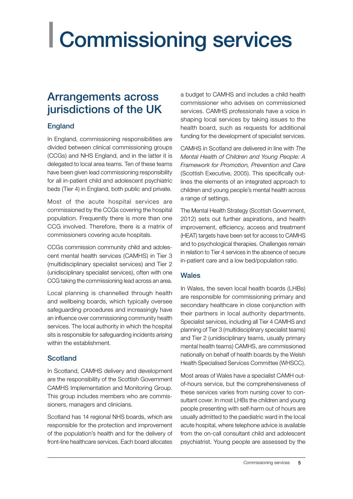# <span id="page-6-0"></span>| Commissioning services

### Arrangements across jurisdictions of the UK

#### England

In England, commissioning responsibilities are divided between clinical commissioning groups (CCGs) and NHS England, and in the latter it is delegated to local area teams. Ten of these teams have been given lead commissioning responsibility for all in-patient child and adolescent psychiatric beds (Tier 4) in England, both public and private.

Most of the acute hospital services are commissioned by the CCGs covering the hospital population. Frequently there is more than one CCG involved. Therefore, there is a matrix of commissioners covering acute hospitals.

CCGs commission community child and adolescent mental health services (CAMHS) in Tier 3 (multidisciplinary specialist services) and Tier 2 (unidisciplinary specialist services), often with one CCG taking the commissioning lead across an area.

Local planning is channelled through health and wellbeing boards, which typically oversee safeguarding procedures and increasingly have an influence over commissioning community health services. The local authority in which the hospital sits is responsible for safeguarding incidents arising within the establishment.

#### Scotland

In Scotland, CAMHS delivery and development are the responsibility of the Scottish Government CAMHS Implementation and Monitoring Group. This group includes members who are commissioners, managers and clinicians.

Scotland has 14 regional NHS boards, which are responsible for the protection and improvement of the population's health and for the delivery of front-line healthcare services. Each board allocates a budget to CAMHS and includes a child health commissioner who advises on commissioned services. CAMHS professionals have a voice in shaping local services by taking issues to the health board, such as requests for additional funding for the development of specialist services.

CAMHS in Scotland are delivered in line with *The Mental Health of Children and Young People: A Framework for Promotion, Prevention and Care* (Scottish Executive, 2005). This specifically outlines the elements of an integrated approach to children and young people's mental health across a range of settings.

The Mental Health Strategy (Scottish Government, 2012) sets out further aspirations, and health improvement, efficiency, access and treatment (HEAT) targets have been set for access to CAMHS and to psychological therapies. Challenges remain in relation to Tier 4 services in the absence of secure in-patient care and a low bed/population ratio.

#### Wales

In Wales, the seven local health boards (LHBs) are responsible for commissioning primary and secondary healthcare in close conjunction with their partners in local authority departments. Specialist services, including all Tier 4 CAMHS and planning of Tier 3 (multidisciplinary specialist teams) and Tier 2 (unidisciplinary teams, usually primary mental health teams) CAMHS, are commissioned nationally on behalf of health boards by the Welsh Health Specialised Services Committee (WHSCC).

Most areas of Wales have a specialist CAMH outof-hours service, but the comprehensiveness of these services varies from nursing cover to consultant cover. In most LHBs the children and young people presenting with self-harm out of hours are usually admitted to the paediatric ward in the local acute hospital, where telephone advice is available from the on-call consultant child and adolescent psychiatrist. Young people are assessed by the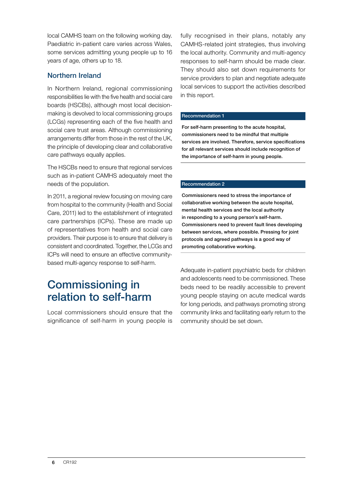local CAMHS team on the following working day. Paediatric in-patient care varies across Wales, some services admitting young people up to 16 years of age, others up to 18.

#### Northern Ireland

In Northern Ireland, regional commissioning responsibilities lie with the five health and social care boards (HSCBs), although most local decisionmaking is devolved to local commissioning groups (LCGs) representing each of the five health and social care trust areas. Although commissioning arrangements differ from those in the rest of the UK, the principle of developing clear and collaborative care pathways equally applies.

The HSCBs need to ensure that regional services such as in-patient CAMHS adequately meet the needs of the population.

In 2011, a regional review focusing on moving care from hospital to the community (Health and Social Care, 2011) led to the establishment of integrated care partnerships (ICPs). These are made up of representatives from health and social care providers. Their purpose is to ensure that delivery is consistent and coordinated. Together, the LCGs and ICPs will need to ensure an effective communitybased multi-agency response to self-harm.

### Commissioning in relation to self-harm

Local commissioners should ensure that the significance of self-harm in young people is fully recognised in their plans, notably any CAMHS-related joint strategies, thus involving the local authority. Community and multi-agency responses to self-harm should be made clear. They should also set down requirements for service providers to plan and negotiate adequate local services to support the activities described in this report.

#### Recommendation 1

For self-harm presenting to the acute hospital, commissioners need to be mindful that multiple services are involved. Therefore, service specifications for all relevant services should include recognition of the importance of self-harm in young people.

#### Recommendation 2

Commissioners need to stress the importance of collaborative working between the acute hospital, mental health services and the local authority in responding to a young person's self-harm. Commissioners need to prevent fault lines developing between services, where possible. Pressing for joint protocols and agreed pathways is a good way of promoting collaborative working.

Adequate in-patient psychiatric beds for children and adolescents need to be commissioned. These beds need to be readily accessible to prevent young people staying on acute medical wards for long periods, and pathways promoting strong community links and facilitating early return to the community should be set down.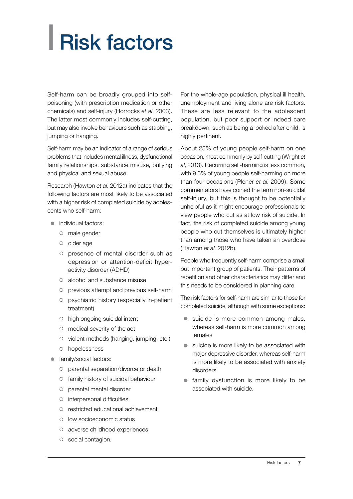# <span id="page-8-0"></span>| Risk factors

Self-harm can be broadly grouped into selfpoisoning (with prescription medication or other chemicals) and self-injury (Horrocks *et al*, 2003). The latter most commonly includes self-cutting, but may also involve behaviours such as stabbing, jumping or hanging.

Self-harm may be an indicator of a range of serious problems that includes mental illness, dysfunctional family relationships, substance misuse, bullying and physical and sexual abuse.

Research (Hawton *et al*, 2012a) indicates that the following factors are most likely to be associated with a higher risk of completed suicide by adolescents who self-harm:

- $\bullet$  individual factors:
	- ${\circ}$  male gender
	- o older age
	- { presence of mental disorder such as depression or attention-deficit hyperactivity disorder (ADHD)
	- { alcohol and substance misuse
	- $\circ$  previous attempt and previous self-harm
	- { psychiatric history (especially in-patient treatment)
	- { high ongoing suicidal intent
	- $\circ$  medical severity of the act
	- $\circ$  violent methods (hanging, jumping, etc.)
	- { hopelessness
- family/social factors:
	- $\circ$  parental separation/divorce or death
	- { family history of suicidal behaviour
	- { parental mental disorder
	- $\circ$  interpersonal difficulties
	- { restricted educational achievement
	- { low socioeconomic status
	- o adverse childhood experiences
	- $\circ$  social contagion.

For the whole-age population, physical ill health, unemployment and living alone are risk factors. These are less relevant to the adolescent population, but poor support or indeed care breakdown, such as being a looked after child, is highly pertinent.

About 25% of young people self-harm on one occasion, most commonly by self-cutting (Wright *et al*, 2013). Recurring self-harming is less common, with 9.5% of young people self-harming on more than four occasions (Plener *et al*, 2009). Some commentators have coined the term non-suicidal self-injury, but this is thought to be potentially unhelpful as it might encourage professionals to view people who cut as at low risk of suicide. In fact, the risk of completed suicide among young people who cut themselves is ultimately higher than among those who have taken an overdose (Hawton *et al*, 2012b).

People who frequently self-harm comprise a small but important group of patients. Their patterns of repetition and other characteristics may differ and this needs to be considered in planning care.

The risk factors for self-harm are similar to those for completed suicide, although with some exceptions:

- $\bullet$  suicide is more common among males, whereas self-harm is more common among females
- $\bullet$  suicide is more likely to be associated with major depressive disorder, whereas self-harm is more likely to be associated with anxiety disorders
- $\bullet$  family dysfunction is more likely to be associated with suicide.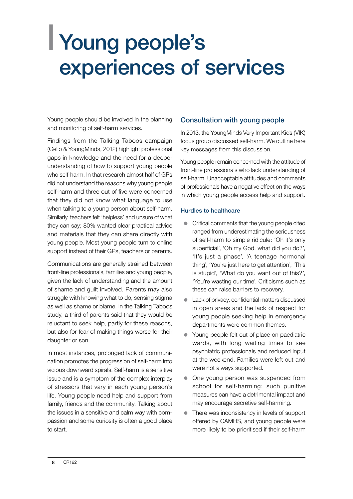## <span id="page-9-0"></span>| Young people's experiences of services

Young people should be involved in the planning and monitoring of self-harm services.

Findings from the Talking Taboos campaign (Cello & YoungMinds, 2012) highlight professional gaps in knowledge and the need for a deeper understanding of how to support young people who self-harm. In that research almost half of GPs did not understand the reasons why young people self-harm and three out of five were concerned that they did not know what language to use when talking to a young person about self-harm. Similarly, teachers felt 'helpless' and unsure of what they can say; 80% wanted clear practical advice and materials that they can share directly with young people. Most young people turn to online support instead of their GPs, teachers or parents.

Communications are generally strained between front-line professionals, families and young people, given the lack of understanding and the amount of shame and guilt involved. Parents may also struggle with knowing what to do, sensing stigma as well as shame or blame. In the Talking Taboos study, a third of parents said that they would be reluctant to seek help, partly for these reasons, but also for fear of making things worse for their daughter or son.

In most instances, prolonged lack of communication promotes the progression of self-harm into vicious downward spirals. Self-harm is a sensitive issue and is a symptom of the complex interplay of stressors that vary in each young person's life. Young people need help and support from family, friends and the community. Talking about the issues in a sensitive and calm way with compassion and some curiosity is often a good place to start.

#### Consultation with young people

In 2013, the YoungMinds Very Important Kids (VIK) focus group discussed self-harm. We outline here key messages from this discussion.

Young people remain concerned with the attitude of front-line professionals who lack understanding of self-harm. Unacceptable attitudes and comments of professionals have a negative effect on the ways in which young people access help and support.

#### Hurdles to healthcare

- $\bullet$  Critical comments that the young people cited ranged from underestimating the seriousness of self-harm to simple ridicule: 'Oh it's only superficial', 'Oh my God, what did you do?', 'It's just a phase', 'A teenage hormonal thing', 'You're just here to get attention', 'This is stupid', 'What do you want out of this?', 'You're wasting our time'. Criticisms such as these can raise barriers to recovery.
- Lack of privacy, confidential matters discussed in open areas and the lack of respect for young people seeking help in emergency departments were common themes.
- Young people felt out of place on paediatric wards, with long waiting times to see psychiatric professionals and reduced input at the weekend. Families were left out and were not always supported.
- One young person was suspended from school for self-harming; such punitive measures can have a detrimental impact and may encourage secretive self-harming.
- $\bullet$  There was inconsistency in levels of support offered by CAMHS, and young people were more likely to be prioritised if their self-harm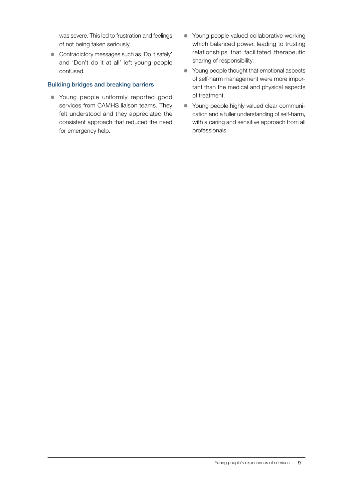was severe. This led to frustration and feelings of not being taken seriously.

• Contradictory messages such as 'Do it safely' and 'Don't do it at all' left young people confused.

#### Building bridges and breaking barriers

- Young people uniformly reported good services from CAMHS liaison teams. They felt understood and they appreciated the consistent approach that reduced the need for emergency help.
- Young people valued collaborative working which balanced power, leading to trusting relationships that facilitated therapeutic sharing of responsibility.
- Young people thought that emotional aspects of self-harm management were more important than the medical and physical aspects of treatment.
- Young people highly valued clear communication and a fuller understanding of self-harm, with a caring and sensitive approach from all professionals.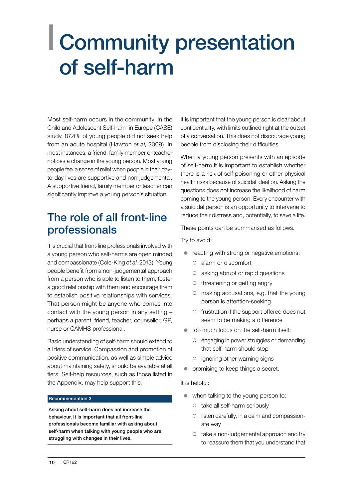## <span id="page-11-0"></span>| Community presentation of self-harm

Most self-harm occurs in the community. In the Child and Adolescent Self-harm in Europe (CASE) study, 87.4% of young people did not seek help from an acute hospital (Hawton *et al*, 2009). In most instances, a friend, family member or teacher notices a change in the young person. Most young people feel a sense of relief when people in their dayto-day lives are supportive and non-judgemental. A supportive friend, family member or teacher can significantly improve a young person's situation.

## The role of all front-line professionals

It is crucial that front-line professionals involved with a young person who self-harms are open minded and compassionate (Cole-King *et al*, 2013). Young people benefit from a non-judgemental approach from a person who is able to listen to them, foster a good relationship with them and encourage them to establish positive relationships with services. That person might be anyone who comes into contact with the young person in any setting – perhaps a parent, friend, teacher, counsellor, GP, nurse or CAMHS professional.

Basic understanding of self-harm should extend to all tiers of service. Compassion and promotion of positive communication, as well as simple advice about maintaining safety, should be available at all tiers. Self-help resources, such as those listed in the Appendix, may help support this.

#### Recommendation 3

Asking about self-harm does not increase the behaviour. It is important that all front-line professionals become familiar with asking about self-harm when talking with young people who are struggling with changes in their lives.

It is important that the young person is clear about confidentiality, with limits outlined right at the outset of a conversation. This does not discourage young people from disclosing their difficulties.

When a young person presents with an episode of self-harm it is important to establish whether there is a risk of self-poisoning or other physical health risks because of suicidal ideation. Asking the questions does not increase the likelihood of harm coming to the young person. Every encounter with a suicidal person is an opportunity to intervene to reduce their distress and, potentially, to save a life.

These points can be summarised as follows.

Try to avoid:

- reacting with strong or negative emotions:
	- { alarm or discomfort
	- $\circ$  asking abrupt or rapid questions
	- ${\circ}$  threatening or getting angry
	- $\circ$  making accusations, e.g. that the young person is attention-seeking
	- { frustration if the support offered does not seem to be making a difference
- $\bullet$  too much focus on the self-harm itself:
	- ${\circ}$  engaging in power struggles or demanding that self-harm should stop
	- $\circ$  ignoring other warning signs
- $\bullet$  promising to keep things a secret.

#### It is helpful:

- $\bullet$  when talking to the young person to:
	- $\circ$  take all self-harm seriously
	- $\circ$  listen carefully, in a calm and compassionate way
	- ${\circ}$  take a non-judgemental approach and try to reassure them that you understand that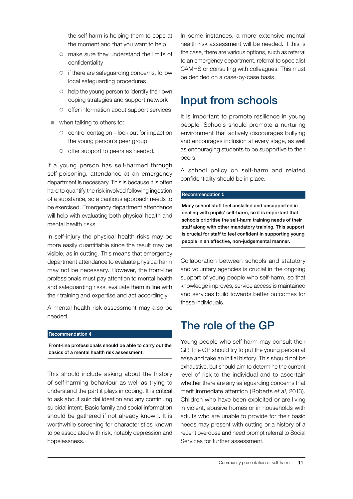the self-harm is helping them to cope at the moment and that you want to help

- { make sure they understand the limits of confidentiality
- $\circ$  if there are safeguarding concerns, follow local safeguarding procedures
- $\circ$  help the young person to identify their own coping strategies and support network
- { offer information about support services
- $\bullet$  when talking to others to:
	- { control contagion look out for impact on the young person's peer group
	- $\circ$  offer support to peers as needed.

If a young person has self-harmed through self-poisoning, attendance at an emergency department is necessary. This is because it is often hard to quantify the risk involved following ingestion of a substance, so a cautious approach needs to be exercised. Emergency department attendance will help with evaluating both physical health and mental health risks.

In self-injury the physical health risks may be more easily quantifiable since the result may be visible, as in cutting. This means that emergency department attendance to evaluate physical harm may not be necessary. However, the front-line professionals must pay attention to mental health and safeguarding risks, evaluate them in line with their training and expertise and act accordingly.

A mental health risk assessment may also be needed.

#### Recommendation 4

Front-line professionals should be able to carry out the basics of a mental health risk assessment.

This should include asking about the history of self-harming behaviour as well as trying to understand the part it plays in coping. It is critical to ask about suicidal ideation and any continuing suicidal intent. Basic family and social information should be gathered if not already known. It is worthwhile screening for characteristics known to be associated with risk, notably depression and hopelessness.

In some instances, a more extensive mental health risk assessment will be needed. If this is the case, there are various options, such as referral to an emergency department, referral to specialist CAMHS or consulting with colleagues. This must be decided on a case-by-case basis.

### Input from schools

It is important to promote resilience in young people. Schools should promote a nurturing environment that actively discourages bullying and encourages inclusion at every stage, as well as encouraging students to be supportive to their peers.

A school policy on self-harm and related confidentiality should be in place.

#### Recommendation 5

Many school staff feel unskilled and unsupported in dealing with pupils' self-harm, so it is important that schools prioritise the self-harm training needs of their staff along with other mandatory training. This support is crucial for staff to feel confident in supporting young people in an effective, non-judgemental manner.

Collaboration between schools and statutory and voluntary agencies is crucial in the ongoing support of young people who self-harm, so that knowledge improves, service access is maintained and services build towards better outcomes for these individuals.

### The role of the GP

Young people who self-harm may consult their GP. The GP should try to put the young person at ease and take an initial history. This should not be exhaustive, but should aim to determine the current level of risk to the individual and to ascertain whether there are any safeguarding concerns that merit immediate attention (Roberts *et al*, 2013). Children who have been exploited or are living in violent, abusive homes or in households with adults who are unable to provide for their basic needs may present with cutting or a history of a recent overdose and need prompt referral to Social Services for further assessment.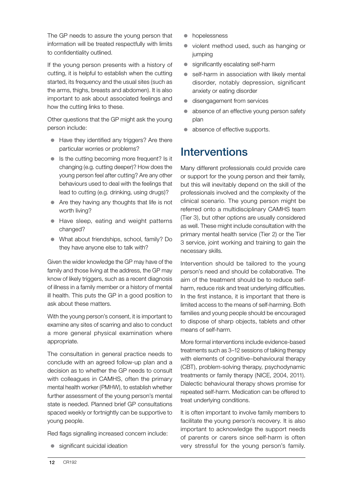The GP needs to assure the young person that information will be treated respectfully with limits to confidentiality outlined.

If the young person presents with a history of cutting, it is helpful to establish when the cutting started, its frequency and the usual sites (such as the arms, thighs, breasts and abdomen). It is also important to ask about associated feelings and how the cutting links to these.

Other questions that the GP might ask the young person include:

- Have they identified any triggers? Are there particular worries or problems?
- $\bullet$  Is the cutting becoming more frequent? Is it changing (e.g. cutting deeper)? How does the young person feel after cutting? Are any other behaviours used to deal with the feelings that lead to cutting (e.g. drinking, using drugs)?
- $\bullet$  Are they having any thoughts that life is not worth living?
- Have sleep, eating and weight patterns changed?
- What about friendships, school, family? Do they have anyone else to talk with?

Given the wider knowledge the GP may have of the family and those living at the address, the GP may know of likely triggers, such as a recent diagnosis of illness in a family member or a history of mental ill health. This puts the GP in a good position to ask about these matters.

With the young person's consent, it is important to examine any sites of scarring and also to conduct a more general physical examination where appropriate.

The consultation in general practice needs to conclude with an agreed follow-up plan and a decision as to whether the GP needs to consult with colleagues in CAMHS, often the primary mental health worker (PMHW), to establish whether further assessment of the young person's mental state is needed. Planned brief GP consultations spaced weekly or fortnightly can be supportive to young people.

Red flags signalling increased concern include:

 $\bullet$  significant suicidal ideation

- hopelessness
- violent method used, such as hanging or jumping
- $\bullet$  significantly escalating self-harm
- self-harm in association with likely mental disorder, notably depression, significant anxiety or eating disorder
- disengagement from services
- absence of an effective young person safety plan
- $\bullet$  absence of effective supports.

### Interventions

Many different professionals could provide care or support for the young person and their family, but this will inevitably depend on the skill of the professionals involved and the complexity of the clinical scenario. The young person might be referred onto a multidisciplinary CAMHS team (Tier 3), but other options are usually considered as well. These might include consultation with the primary mental health service (Tier 2) or the Tier 3 service, joint working and training to gain the necessary skills.

Intervention should be tailored to the young person's need and should be collaborative. The aim of the treatment should be to reduce selfharm, reduce risk and treat underlying difficulties. In the first instance, it is important that there is limited access to the means of self-harming. Both families and young people should be encouraged to dispose of sharp objects, tablets and other means of self-harm.

More formal interventions include evidence-based treatments such as 3–12 sessions of talking therapy with elements of cognitive–behavioural therapy (CBT), problem-solving therapy, psychodynamic treatments or family therapy (NICE, 2004, 2011). Dialectic behavioural therapy shows promise for repeated self-harm. Medication can be offered to treat underlying conditions.

It is often important to involve family members to facilitate the young person's recovery. It is also important to acknowledge the support needs of parents or carers since self-harm is often very stressful for the young person's family.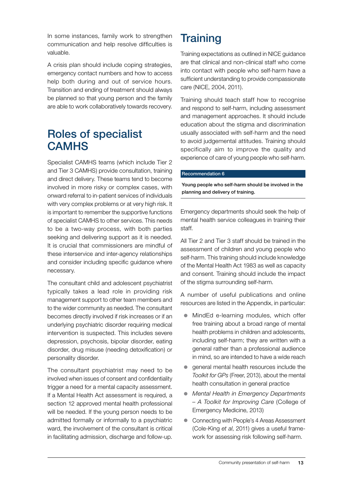In some instances, family work to strengthen communication and help resolve difficulties is valuable.

A crisis plan should include coping strategies, emergency contact numbers and how to access help both during and out of service hours. Transition and ending of treatment should always be planned so that young person and the family are able to work collaboratively towards recovery.

## Roles of specialist **CAMHS**

Specialist CAMHS teams (which include Tier 2 and Tier 3 CAMHS) provide consultation, training and direct delivery. These teams tend to become involved in more risky or complex cases, with onward referral to in-patient services of individuals with very complex problems or at very high risk. It is important to remember the supportive functions of specialist CAMHS to other services. This needs to be a two-way process, with both parties seeking and delivering support as it is needed. It is crucial that commissioners are mindful of these interservice and inter-agency relationships and consider including specific guidance where necessary.

The consultant child and adolescent psychiatrist typically takes a lead role in providing risk management support to other team members and to the wider community as needed. The consultant becomes directly involved if risk increases or if an underlying psychiatric disorder requiring medical intervention is suspected. This includes severe depression, psychosis, bipolar disorder, eating disorder, drug misuse (needing detoxification) or personality disorder.

The consultant psychiatrist may need to be involved when issues of consent and confidentiality trigger a need for a mental capacity assessment. If a Mental Health Act assessment is required, a section 12 approved mental health professional will be needed. If the young person needs to be admitted formally or informally to a psychiatric ward, the involvement of the consultant is critical in facilitating admission, discharge and follow-up.

## **Training**

Training expectations as outlined in NICE guidance are that clinical and non-clinical staff who come into contact with people who self-harm have a sufficient understanding to provide compassionate care (NICE, 2004, 2011).

Training should teach staff how to recognise and respond to self-harm, including assessment and management approaches. It should include education about the stigma and discrimination usually associated with self-harm and the need to avoid judgemental attitudes. Training should specifically aim to improve the quality and experience of care of young people who self-harm.

#### Recommendation 6

Young people who self-harm should be involved in the planning and delivery of training.

Emergency departments should seek the help of mental health service colleagues in training their staff.

All Tier 2 and Tier 3 staff should be trained in the assessment of children and young people who self-harm. This training should include knowledge of the Mental Health Act 1983 as well as capacity and consent. Training should include the impact of the stigma surrounding self-harm.

A number of useful publications and online resources are listed in the Appendix, in particular:

- MindEd e-learning modules, which offer free training about a broad range of mental health problems in children and adolescents, including self-harm; they are written with a general rather than a professional audience in mind, so are intended to have a wide reach
- general mental health resources include the *Toolkit for GPs* (Freer, 2013), about the mental health consultation in general practice
- z *Mental Health in Emergency Departments – A Toolkit for Improving Care* (College of Emergency Medicine, 2013)
- z Connecting with People's 4 Areas Assessment (Cole-King *et al*, 2011) gives a useful framework for assessing risk following self-harm.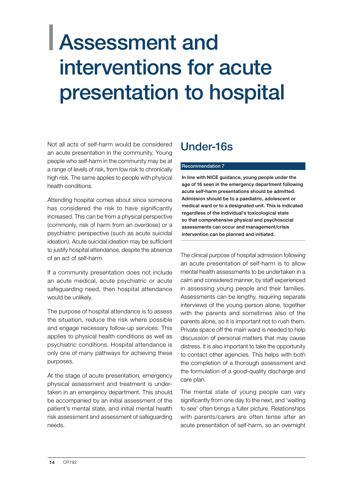## <span id="page-15-0"></span>| Assessment and interventions for acute presentation to hospital

Not all acts of self-harm would be considered an acute presentation in the community. Young people who self-harm in the community may be at a range of levels of risk, from low risk to chronically high risk. The same applies to people with physical health conditions.

Attending hospital comes about since someone has considered the risk to have significantly increased. This can be from a physical perspective (commonly, risk of harm from an overdose) or a psychiatric perspective (such as acute suicidal ideation). Acute suicidal ideation may be sufficient to justify hospital attendance, despite the absence of an act of self-harm.

If a community presentation does not include an acute medical, acute psychiatric or acute safeguarding need, then hospital attendance would be unlikely.

The purpose of hospital attendance is to assess the situation, reduce the risk where possible and engage necessary follow-up services. This applies to physical health conditions as well as psychiatric conditions. Hospital attendance is only one of many pathways for achieving these purposes.

At the stage of acute presentation, emergency physical assessment and treatment is undertaken in an emergency department. This should be accompanied by an initial assessment of the patient's mental state, and initial mental health risk assessment and assessment of safeguarding needs.

## Under-16s

#### Recommendation 7

In line with NICE guidance, young people under the age of 16 seen in the emergency department following acute self-harm presentations should be admitted. Admission should be to a paediatric, adolescent or medical ward or to a designated unit. This is indicated regardless of the individual's toxicological state so that comprehensive physical and psychosocial assessments can occur and management/crisis intervention can be planned and initiated.

The clinical purpose of hospital admission following an acute presentation of self-harm is to allow mental health assessments to be undertaken in a calm and considered manner, by staff experienced in assessing young people and their families. Assessments can be lengthy, requiring separate interviews of the young person alone, together with the parents and sometimes also of the parents alone, so it is important not to rush them. Private space off the main ward is needed to help discussion of personal matters that may cause distress. It is also important to take the opportunity to contact other agencies. This helps with both the completion of a thorough assessment and the formulation of a good-quality discharge and care plan.

The mental state of young people can vary significantly from one day to the next, and 'waiting to see' often brings a fuller picture. Relationships with parents/carers are often tense after an acute presentation of self-harm, so an overnight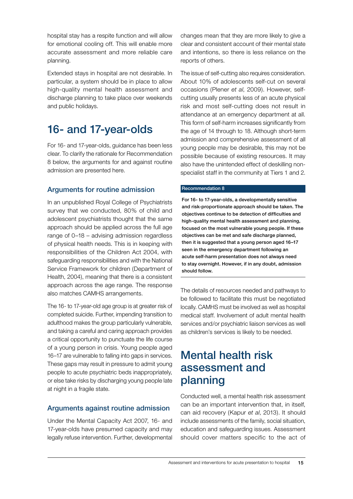hospital stay has a respite function and will allow for emotional cooling off. This will enable more accurate assessment and more reliable care planning.

Extended stays in hospital are not desirable. In particular, a system should be in place to allow high-quality mental health assessment and discharge planning to take place over weekends and public holidays.

## 16- and 17-year-olds

For 16- and 17-year-olds, guidance has been less clear. To clarify the rationale for Recommendation 8 below, the arguments for and against routine admission are presented here.

#### Arguments for routine admission

In an unpublished Royal College of Psychiatrists survey that we conducted, 80% of child and adolescent psychiatrists thought that the same approach should be applied across the full age range of 0–18 – advising admission regardless of physical health needs. This is in keeping with responsibilities of the Children Act 2004, with safeguarding responsibilities and with the National Service Framework for children (Department of Health, 2004), meaning that there is a consistent approach across the age range. The response also matches CAMHS arrangements.

The 16- to 17-year-old age group is at greater risk of completed suicide. Further, impending transition to adulthood makes the group particularly vulnerable, and taking a careful and caring approach provides a critical opportunity to punctuate the life course of a young person in crisis. Young people aged 16–17 are vulnerable to falling into gaps in services. These gaps may result in pressure to admit young people to acute psychiatric beds inappropriately, or else take risks by discharging young people late at night in a fragile state.

#### Arguments against routine admission

Under the Mental Capacity Act 2007, 16- and 17-year-olds have presumed capacity and may legally refuse intervention. Further, developmental

changes mean that they are more likely to give a clear and consistent account of their mental state and intentions, so there is less reliance on the reports of others.

The issue of self-cutting also requires consideration. About 10% of adolescents self-cut on several occasions (Plener *et al*, 2009). However, selfcutting usually presents less of an acute physical risk and most self-cutting does not result in attendance at an emergency department at all. This form of self-harm increases significantly from the age of 14 through to 18. Although short-term admission and comprehensive assessment of all young people may be desirable, this may not be possible because of existing resources. It may also have the unintended effect of deskilling nonspecialist staff in the community at Tiers 1 and 2.

#### Recommendation 8

For 16- to 17-year-olds, a developmentally sensitive and risk-proportionate approach should be taken. The objectives continue to be detection of difficulties and high-quality mental health assessment and planning, focused on the most vulnerable young people. If these objectives can be met and safe discharge planned, then it is suggested that a young person aged 16–17 seen in the emergency department following an acute self-harm presentation does not always need to stay overnight. However, if in any doubt, admission should follow.

The details of resources needed and pathways to be followed to facilitate this must be negotiated locally. CAMHS must be involved as well as hospital medical staff. Involvement of adult mental health services and/or psychiatric liaison services as well as children's services is likely to be needed.

## Mental health risk assessment and planning

Conducted well, a mental health risk assessment can be an important intervention that, in itself, can aid recovery (Kapur *et al*, 2013). It should include assessments of the family, social situation, education and safeguarding issues. Assessment should cover matters specific to the act of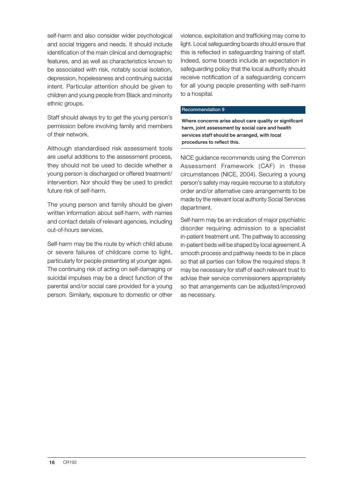self-harm and also consider wider psychological and social triggers and needs. It should include identification of the main clinical and demographic features, and as well as characteristics known to be associated with risk, notably social isolation, depression, hopelessness and continuing suicidal intent. Particular attention should be given to children and young people from Black and minority ethnic groups.

Staff should always try to get the young person's permission before involving family and members of their network.

Although standardised risk assessment tools are useful additions to the assessment process, they should not be used to decide whether a young person is discharged or offered treatment/ intervention. Nor should they be used to predict future risk of self-harm.

The young person and family should be given written information about self-harm, with names and contact details of relevant agencies, including out-of-hours services.

Self-harm may be the route by which child abuse or severe failures of childcare come to light, particularly for people presenting at younger ages. The continuing risk of acting on self-damaging or suicidal impulses may be a direct function of the parental and/or social care provided for a young person. Similarly, exposure to domestic or other

violence, exploitation and trafficking may come to light. Local safeguarding boards should ensure that this is reflected in safeguarding training of staff. Indeed, some boards include an expectation in safeguarding policy that the local authority should receive notification of a safeguarding concern for all young people presenting with self-harm to a hospital.

#### Recommendation 9

Where concerns arise about care quality or significant harm, joint assessment by social care and health services staff should be arranged, with local procedures to reflect this.

NICE guidance recommends using the Common Assessment Framework (CAF) in these circumstances (NICE, 2004). Securing a young person's safety may require recourse to a statutory order and/or alternative care arrangements to be made by the relevant local authority Social Services department.

Self-harm may be an indication of major psychiatric disorder requiring admission to a specialist in-patient treatment unit. The pathway to accessing in-patient beds will be shaped by local agreement. A smooth process and pathway needs to be in place so that all parties can follow the required steps. It may be necessary for staff of each relevant trust to advise their service commissioners appropriately so that arrangements can be adjusted/improved as necessary.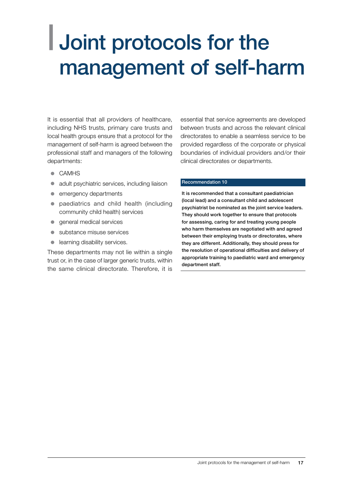## <span id="page-18-0"></span>| Joint protocols for the management of self-harm

It is essential that all providers of healthcare, including NHS trusts, primary care trusts and local health groups ensure that a protocol for the management of self-harm is agreed between the professional staff and managers of the following departments:

- $\bullet$  CAMHS
- $\bullet$  adult psychiatric services, including liaison
- emergency departments
- paediatrics and child health (including community child health) services
- **•** general medical services
- $\bullet$  substance misuse services
- $\bullet$  learning disability services.

These departments may not lie within a single trust or, in the case of larger generic trusts, within the same clinical directorate. Therefore, it is essential that service agreements are developed between trusts and across the relevant clinical directorates to enable a seamless service to be provided regardless of the corporate or physical boundaries of individual providers and/or their clinical directorates or departments.

#### Recommendation 10

It is recommended that a consultant paediatrician (local lead) and a consultant child and adolescent psychiatrist be nominated as the joint service leaders. They should work together to ensure that protocols for assessing, caring for and treating young people who harm themselves are negotiated with and agreed between their employing trusts or directorates, where they are different. Additionally, they should press for the resolution of operational difficulties and delivery of appropriate training to paediatric ward and emergency department staff.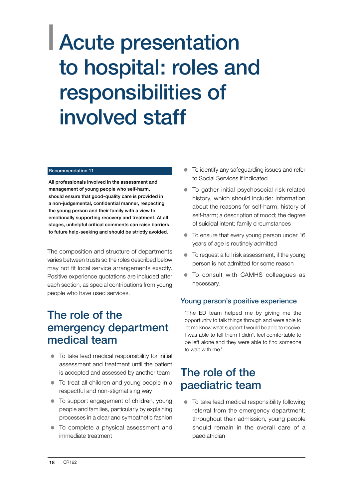## <span id="page-19-0"></span>| Acute presentation to hospital: roles and responsibilities of involved staff

#### Recommendation 11

All professionals involved in the assessment and management of young people who self-harm, should ensure that good-quality care is provided in a non-judgemental, confidential manner, respecting the young person and their family with a view to emotionally supporting recovery and treatment. At all stages, unhelpful critical comments can raise barriers to future help-seeking and should be strictly avoided.

The composition and structure of departments varies between trusts so the roles described below may not fit local service arrangements exactly. Positive experience quotations are included after each section, as special contributions from young people who have used services.

### The role of the emergency department medical team

- $\bullet$  To take lead medical responsibility for initial assessment and treatment until the patient is accepted and assessed by another team
- $\bullet$  To treat all children and young people in a respectful and non-stigmatising way
- To support engagement of children, young people and families, particularly by explaining processes in a clear and sympathetic fashion
- To complete a physical assessment and immediate treatment
- $\bullet$  To identify any safeguarding issues and refer to Social Services if indicated
- $\bullet$  To gather initial psychosocial risk-related history, which should include: information about the reasons for self-harm; history of self-harm; a description of mood; the degree of suicidal intent; family circumstances
- $\bullet$  To ensure that every young person under 16 years of age is routinely admitted
- $\bullet$  To request a full risk assessment, if the young person is not admitted for some reason
- $\bullet$  To consult with CAMHS colleagues as necessary.

#### Young person's positive experience

'The ED team helped me by giving me the opportunity to talk things through and were able to let me know what support I would be able to receive. I was able to tell them I didn't feel comfortable to be left alone and they were able to find someone to wait with me.'

### The role of the paediatric team

 $\bullet$  To take lead medical responsibility following referral from the emergency department; throughout their admission, young people should remain in the overall care of a paediatrician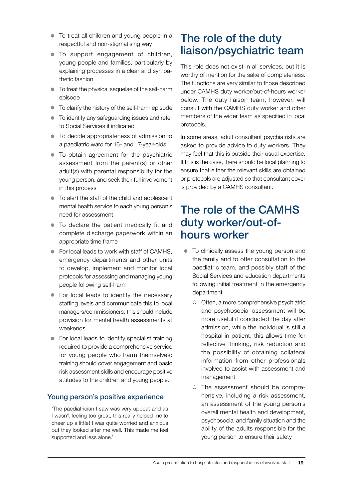- $\bullet$  To treat all children and young people in a respectful and non-stigmatising way
- $\bullet$  To support engagement of children, young people and families, particularly by explaining processes in a clear and sympathetic fashion
- $\bullet$  To treat the physical sequelae of the self-harm episode
- $\bullet$  To clarify the history of the self-harm episode
- $\bullet$  To identify any safeguarding issues and refer to Social Services if indicated
- $\bullet$  To decide appropriateness of admission to a paediatric ward for 16- and 17-year-olds.
- $\bullet$  To obtain agreement for the psychiatric assessment from the parent(s) or other adult(s) with parental responsibility for the young person, and seek their full involvement in this process
- $\bullet$  To alert the staff of the child and adolescent mental health service to each young person's need for assessment
- $\bullet$  To declare the patient medically fit and complete discharge paperwork within an appropriate time frame
- $\bullet$  For local leads to work with staff of CAMHS. emergency departments and other units to develop, implement and monitor local protocols for assessing and managing young people following self-harm
- $\bullet$  For local leads to identify the necessary staffing levels and communicate this to local managers/commissioners; this should include provision for mental health assessments at weekends
- $\bullet$  For local leads to identify specialist training required to provide a comprehensive service for young people who harm themselves: training should cover engagement and basic risk assessment skills and encourage positive attitudes to the children and young people.

#### Young person's positive experience

'The paediatrician I saw was very upbeat and as I wasn't feeling too great, this really helped me to cheer up a little! I was quite worried and anxious but they looked after me well. This made me feel supported and less alone.'

## The role of the duty liaison/psychiatric team

This role does not exist in all services, but it is worthy of mention for the sake of completeness. The functions are very similar to those described under CAMHS duty worker/out-of-hours worker below. The duty liaison team, however, will consult with the CAMHS duty worker and other members of the wider team as specified in local protocols.

In some areas, adult consultant psychiatrists are asked to provide advice to duty workers. They may feel that this is outside their usual expertise. If this is the case, there should be local planning to ensure that either the relevant skills are obtained or protocols are adjusted so that consultant cover is provided by a CAMHS consultant.

### The role of the CAMHS duty worker/out-ofhours worker

- $\bullet$  To clinically assess the young person and the family and to offer consultation to the paediatric team, and possibly staff of the Social Services and education departments following initial treatment in the emergency department
	- ${\circ}$  Often, a more comprehensive psychiatric and psychosocial assessment will be more useful if conducted the day after admission, while the individual is still a hospital in-patient; this allows time for reflective thinking, risk reduction and the possibility of obtaining collateral information from other professionals involved to assist with assessment and management
	- $\circ$  The assessment should be comprehensive, including a risk assessment, an assessment of the young person's overall mental health and development, psychosocial and family situation and the ability of the adults responsible for the young person to ensure their safety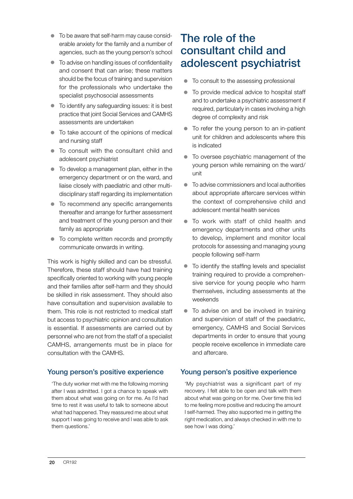- $\bullet$  To be aware that self-harm may cause considerable anxiety for the family and a number of agencies, such as the young person's school
- $\bullet$  To advise on handling issues of confidentiality and consent that can arise; these matters should be the focus of training and supervision for the professionals who undertake the specialist psychosocial assessments
- $\bullet$  To identify any safeguarding issues: it is best practice that joint Social Services and CAMHS assessments are undertaken
- $\bullet$  To take account of the opinions of medical and nursing staff
- $\bullet$  To consult with the consultant child and adolescent psychiatrist
- $\bullet$  To develop a management plan, either in the emergency department or on the ward, and liaise closely with paediatric and other multidisciplinary staff regarding its implementation
- To recommend any specific arrangements thereafter and arrange for further assessment and treatment of the young person and their family as appropriate
- $\bullet$  To complete written records and promptly communicate onwards in writing.

This work is highly skilled and can be stressful. Therefore, these staff should have had training specifically oriented to working with young people and their families after self-harm and they should be skilled in risk assessment. They should also have consultation and supervision available to them. This role is not restricted to medical staff but access to psychiatric opinion and consultation is essential. If assessments are carried out by personnel who are not from the staff of a specialist CAMHS, arrangements must be in place for consultation with the CAMHS.

#### Young person's positive experience

'The duty worker met with me the following morning after I was admitted. I got a chance to speak with them about what was going on for me. As I'd had time to rest it was useful to talk to someone about what had happened. They reassured me about what support I was going to receive and I was able to ask them questions.'

## The role of the consultant child and adolescent psychiatrist

- $\bullet$  To consult to the assessing professional
- To provide medical advice to hospital staff and to undertake a psychiatric assessment if required, particularly in cases involving a high degree of complexity and risk
- $\bullet$  To refer the young person to an in-patient unit for children and adolescents where this is indicated
- To oversee psychiatric management of the young person while remaining on the ward/ unit
- $\bullet$  To advise commissioners and local authorities about appropriate aftercare services within the context of comprehensive child and adolescent mental health services
- To work with staff of child health and emergency departments and other units to develop, implement and monitor local protocols for assessing and managing young people following self-harm
- $\bullet$  To identify the staffing levels and specialist training required to provide a comprehensive service for young people who harm themselves, including assessments at the weekends
- $\bullet$  To advise on and be involved in training and supervision of staff of the paediatric, emergency, CAMHS and Social Services departments in order to ensure that young people receive excellence in immediate care and aftercare.

#### Young person's positive experience

'My psychiatrist was a significant part of my recovery. I felt able to be open and talk with them about what was going on for me. Over time this led to me feeling more positive and reducing the amount I self-harmed. They also supported me in getting the right medication, and always checked in with me to see how I was doing.'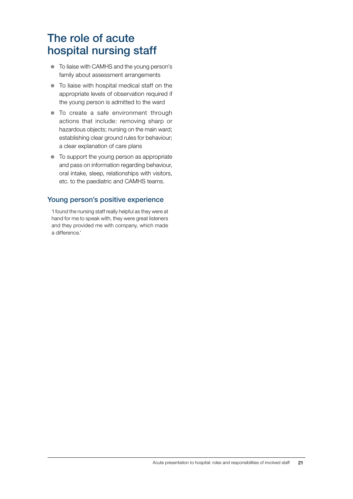## The role of acute hospital nursing staff

- To liaise with CAMHS and the young person's family about assessment arrangements
- $\bullet$  To liaise with hospital medical staff on the appropriate levels of observation required if the young person is admitted to the ward
- $\bullet$  To create a safe environment through actions that include: removing sharp or hazardous objects; nursing on the main ward; establishing clear ground rules for behaviour; a clear explanation of care plans
- To support the young person as appropriate and pass on information regarding behaviour, oral intake, sleep, relationships with visitors, etc. to the paediatric and CAMHS teams.

#### Young person's positive experience

'I found the nursing staff really helpful as they were at hand for me to speak with, they were great listeners and they provided me with company, which made a difference.'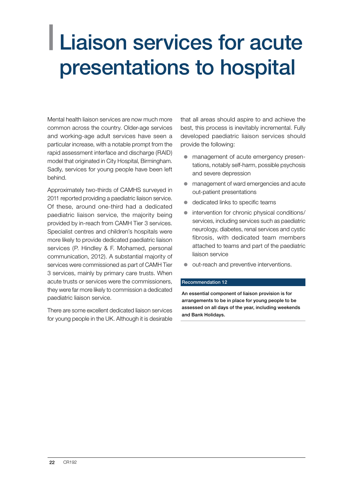## <span id="page-23-0"></span>| Liaison services for acute presentations to hospital

Mental health liaison services are now much more common across the country. Older-age services and working-age adult services have seen a particular increase, with a notable prompt from the rapid assessment interface and discharge (RAID) model that originated in City Hospital, Birmingham. Sadly, services for young people have been left behind.

Approximately two-thirds of CAMHS surveyed in 2011 reported providing a paediatric liaison service. Of these, around one-third had a dedicated paediatric liaison service, the majority being provided by in-reach from CAMH Tier 3 services. Specialist centres and children's hospitals were more likely to provide dedicated paediatric liaison services (P. Hindley & F. Mohamed, personal communication, 2012). A substantial majority of services were commissioned as part of CAMH Tier 3 services, mainly by primary care trusts. When acute trusts or services were the commissioners, they were far more likely to commission a dedicated paediatric liaison service.

There are some excellent dedicated liaison services for young people in the UK. Although it is desirable

that all areas should aspire to and achieve the best, this process is inevitably incremental. Fully developed paediatric liaison services should provide the following:

- $\bullet$  management of acute emergency presentations, notably self-harm, possible psychosis and severe depression
- $\bullet$  management of ward emergencies and acute out-patient presentations
- $\bullet$  dedicated links to specific teams
- intervention for chronic physical conditions/ services, including services such as paediatric neurology, diabetes, renal services and cystic fibrosis, with dedicated team members attached to teams and part of the paediatric liaison service
- out-reach and preventive interventions.

#### Recommendation 12

An essential component of liaison provision is for arrangements to be in place for young people to be assessed on all days of the year, including weekends and Bank Holidays.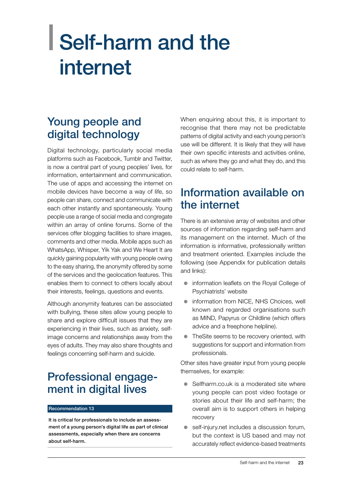## <span id="page-24-0"></span>| Self-harm and the internet

## Young people and digital technology

Digital technology, particularly social media platforms such as Facebook, Tumblr and Twitter, is now a central part of young peoples' lives, for information, entertainment and communication. The use of apps and accessing the internet on mobile devices have become a way of life, so people can share, connect and communicate with each other instantly and spontaneously. Young people use a range of social media and congregate within an array of online forums. Some of the services offer blogging facilities to share images, comments and other media. Mobile apps such as WhatsApp, Whisper, Yik Yak and We Heart It are quickly gaining popularity with young people owing to the easy sharing, the anonymity offered by some of the services and the geolocation features. This enables them to connect to others locally about their interests, feelings, questions and events.

Although anonymity features can be associated with bullying, these sites allow young people to share and explore difficult issues that they are experiencing in their lives, such as anxiety, selfimage concerns and relationships away from the eyes of adults. They may also share thoughts and feelings concerning self-harm and suicide.

## Professional engagement in digital lives

#### Recommendation 13

It is critical for professionals to include an assessment of a young person's digital life as part of clinical assessments, especially when there are concerns about self-harm.

When enquiring about this, it is important to recognise that there may not be predictable patterns of digital activity and each young person's use will be different. It is likely that they will have their own specific interests and activities online, such as where they go and what they do, and this could relate to self-harm.

### Information available on the internet

There is an extensive array of websites and other sources of information regarding self-harm and its management on the internet. Much of the information is informative, professionally written and treatment oriented. Examples include the following (see Appendix for publication details and links):

- information leaflets on the Royal College of Psychiatrists' website
- $\bullet$  information from NICE, NHS Choices, well known and regarded organisations such as MIND, Papyrus or Childline (which offers advice and a freephone helpline).
- TheSite seems to be recovery oriented, with suggestions for support and information from professionals.

Other sites have greater input from young people themselves, for example:

- $\bullet$  Selfharm.co.uk is a moderated site where young people can post video footage or stories about their life and self-harm; the overall aim is to support others in helping recovery
- self-injury.net includes a discussion forum, but the context is US based and may not accurately reflect evidence-based treatments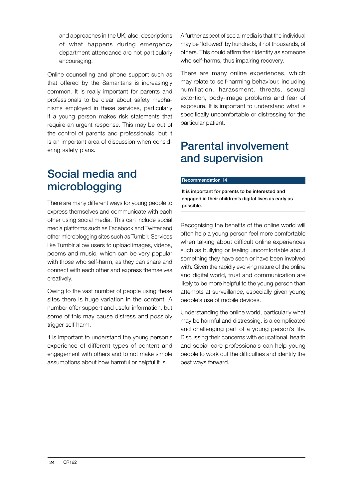and approaches in the UK; also, descriptions of what happens during emergency department attendance are not particularly encouraging.

Online counselling and phone support such as that offered by the Samaritans is increasingly common. It is really important for parents and professionals to be clear about safety mechanisms employed in these services, particularly if a young person makes risk statements that require an urgent response. This may be out of the control of parents and professionals, but it is an important area of discussion when considering safety plans.

## Social media and microblogging

There are many different ways for young people to express themselves and communicate with each other using social media. This can include social media platforms such as Facebook and Twitter and other microblogging sites such as Tumblr. Services like Tumblr allow users to upload images, videos, poems and music, which can be very popular with those who self-harm, as they can share and connect with each other and express themselves creatively.

Owing to the vast number of people using these sites there is huge variation in the content. A number offer support and useful information, but some of this may cause distress and possibly trigger self-harm.

It is important to understand the young person's experience of different types of content and engagement with others and to not make simple assumptions about how harmful or helpful it is.

A further aspect of social media is that the individual may be 'followed' by hundreds, if not thousands, of others. This could affirm their identity as someone who self-harms, thus impairing recovery.

There are many online experiences, which may relate to self-harming behaviour, including humiliation, harassment, threats, sexual extortion, body-image problems and fear of exposure. It is important to understand what is specifically uncomfortable or distressing for the particular patient.

## Parental involvement and supervision

#### Recommendation 14

It is important for parents to be interested and engaged in their children's digital lives as early as possible.

Recognising the benefits of the online world will often help a young person feel more comfortable when talking about difficult online experiences such as bullying or feeling uncomfortable about something they have seen or have been involved with. Given the rapidly evolving nature of the online and digital world, trust and communication are likely to be more helpful to the young person than attempts at surveillance, especially given young people's use of mobile devices.

Understanding the online world, particularly what may be harmful and distressing, is a complicated and challenging part of a young person's life. Discussing their concerns with educational, health and social care professionals can help young people to work out the difficulties and identify the best ways forward.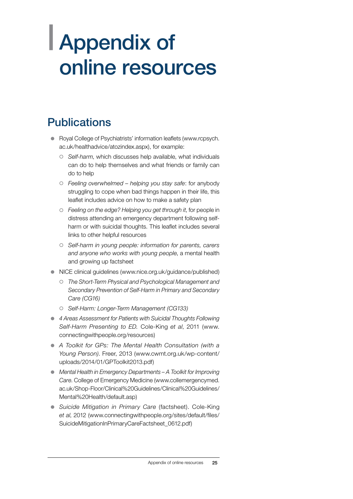## <span id="page-26-0"></span>| Appendix of online resources

## **Publications**

- Royal College of Psychiatrists' information leaflets (www.rcpsych. ac.uk/healthadvice/atozindex.aspx), for example:
	- { *Self-harm*, which discusses help available, what individuals can do to help themselves and what friends or family can do to help
	- { *Feeling overwhelmed helping you stay safe*: for anybody struggling to cope when bad things happen in their life, this leaflet includes advice on how to make a safety plan
	- { *Feeling on the edge? Helping you get through it*, for people in distress attending an emergency department following selfharm or with suicidal thoughts. This leaflet includes several links to other helpful resources
	- { *Self-harm in young people: information for parents, carers and anyone who works with young people*, a mental health and growing up factsheet
- NICE clinical guidelines (www.nice.org.uk/guidance/published)
	- { *The Short-Term Physical and Psychological Management and Secondary Prevention of Self-Harm in Primary and Secondary Care (CG16)*
	- { *Self-Harm: Longer-Term Management (CG133)*
- **4 Areas Assessment for Patients with Suicidal Thoughts Following** *Self-Harm Presenting to ED.* Cole-King *et al*, 2011 ([www.](http://www.connectingwithpeople.org/resources) [connectingwithpeople.org/resources](http://www.connectingwithpeople.org/resources))
- z *A Toolkit for GPs: The Mental Health Consultation (with a Young Person)*. Freer, 2013 (www.cwmt.org.uk/wp-content/ uploads/2014/01/GPToolkit2013.pdf)
- *Mental Health in Emergency Departments A Toolkit for Improving Care*. College of Emergency Medicine ([www.collemergencymed.](http://www.collemergencymed.ac.uk/Shop-Floor/Clinical%20Guidelines/Clinical%20Guidelines/Mental%20Health/default.asp) [ac.uk/Shop-Floor/Clinical%20Guidelines/Clinical%20Guidelines/](http://www.collemergencymed.ac.uk/Shop-Floor/Clinical%20Guidelines/Clinical%20Guidelines/Mental%20Health/default.asp) [Mental%20Health/default.asp\)](http://www.collemergencymed.ac.uk/Shop-Floor/Clinical%20Guidelines/Clinical%20Guidelines/Mental%20Health/default.asp)
- **•** Suicide Mitigation in Primary Care (factsheet). Cole-King *et al*, 2012 [\(www.connectingwithpeople.org/sites/default/files/](http://www.connectingwithpeople.org/sites/default/files/SuicideMitigationInPrimaryCareFactsheet_0612.pdf) [SuicideMitigationInPrimaryCareFactsheet\\_0612.pdf\)](http://www.connectingwithpeople.org/sites/default/files/SuicideMitigationInPrimaryCareFactsheet_0612.pdf)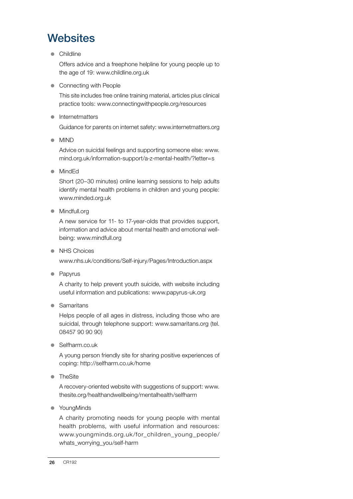## **Websites**

**Childline** 

Offers advice and a freephone helpline for young people up to the age of 19: www.childline.org.uk

• Connecting with People

This site includes free online training material, articles plus clinical practice tools: www.connectingwithpeople.org/resources

• Internetmatters

Guidance for parents on internet safety: [www.internetmatters.org](http://www.internetmatters.org/)

• MIND

Advice on suicidal feelings and supporting someone else: www. mind.org.uk/information-support/a-z-mental-health/?letter=s

• MindEd

Short (20–30 minutes) online learning sessions to help adults identify mental health problems in children and young people: [www.minded.org.uk](https://www.minded.org.uk/)

• Mindfull.org

A new service for 11- to 17-year-olds that provides support, information and advice about mental health and emotional wellbeing: [www.mindfull.org](https://www.mindfull.org/)

• NHS Choices

[www.nhs.uk/conditions/Self-injury/Pages/Introduction.aspx](http://www.nhs.uk/conditions/Self-injury/Pages/Introduction.aspx)

• Papyrus

A charity to help prevent youth suicide, with website including useful information and publications: [www.papyrus-uk.org](http://www.papyrus-uk.org/)

• Samaritans

Helps people of all ages in distress, including those who are suicidal, through telephone support: www.samaritans.org (tel. 08457 90 90 90)

 $\bullet$  Selfharm.co.uk

A young person friendly site for sharing positive experiences of coping:<http://selfharm.co.uk/home>

• TheSite

A recovery-oriented website with suggestions of support: [www.](http://www.thesite.org/healthandwellbeing/mentalhealth/selfharm) [thesite.org/healthandwellbeing/mentalhealth/selfharm](http://www.thesite.org/healthandwellbeing/mentalhealth/selfharm)

• YoungMinds

A charity promoting needs for young people with mental health problems, with useful information and resources: [www.youngminds.org.uk/for\\_children\\_young\\_people/](http://www.youngminds.org.uk/for_children_young_people/whats_worrying_you/self-harm) [whats\\_worrying\\_you/self-harm](http://www.youngminds.org.uk/for_children_young_people/whats_worrying_you/self-harm)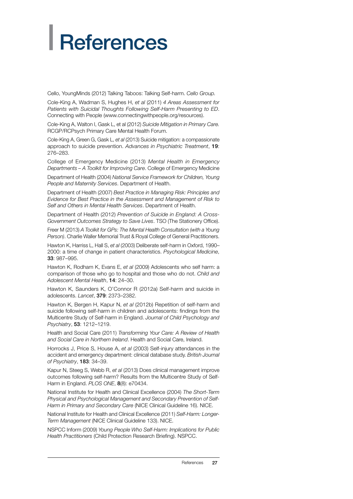# <span id="page-28-0"></span>**References**

[Cello, YoungMinds \(2012\) Talking Taboos: Talking Self-harm.](http://www.connectingwithpeople.org/node/112) *Cello Group.* 

Cole-King A, Wadman S, Hughes H, *et al* (2011) *4 Areas Assessment for Patients with Suicidal Thoughts Following Self-Harm Presenting to ED*. Connecting with People ([www.connectingwithpeople.org/resources](http://www.connectingwithpeople.org/resources)).

Cole-King A, Walton I, Gask L, et al (2012) *Suicide Mitigation in Primary Care.*  RCGP/RCPsych Primary Care Mental Health Forum.

Cole-King A, Green G, Gask L, *et al* (2013) Suicide mitigation: a compassionate approach to suicide prevention. *Advances in Psychiatric Treatment*, 19: 276–283.

College of Emergency Medicine (2013) *Mental Health in Emergency Departments – A Toolkit for Improving Care*. College of Emergency Medicine

Department of Health (2004) *National Service Framework for Children, Young People and Maternity Services*. Department of Health.

Department of Health (2007) *Best Practice in Managing Risk: Principles and Evidence for Best Practice in the Assessment and Management of Risk to Self and Others in Mental Health Services*. Department of Health.

Department of Health (2012) *Prevention of Suicide in England: A Cross-Government Outcomes Strategy to Save Lives*. TSO (The Stationery Office).

Freer M (2013) *A Toolkit for GPs: The Mental Health Consultation (with a Young Person)*. Charlie Waller Memorial Trust & Royal College of General Practitioners.

Hawton K, Harriss L, Hall S, *et al* (2003) Deliberate self-harm in Oxford, 1990– 2000: a time of change in patient characteristics. *Psychological Medicine*, 33: 987–995.

Hawton K, Rodham K, Evans E, *et al* (2009) Adolescents who self harm: a comparison of those who go to hospital and those who do not. *Child and Adolescent Mental Health*, 14: 24–30.

Hawton K, Saunders K, O'Connor R (2012a) Self-harm and suicide in adolescents. *Lancet*, 379: 2373–2382.

[Hawton K,](http://www.ncbi.nlm.nih.gov/pubmed?term=Hawton%20K%5BAuthor%5D&cauthor=true&cauthor_uid=22537181) [Bergen H,](http://www.ncbi.nlm.nih.gov/pubmed?term=Bergen%20H%5BAuthor%5D&cauthor=true&cauthor_uid=22537181) [Kapur N,](http://www.ncbi.nlm.nih.gov/pubmed?term=Kapur%20N%5BAuthor%5D&cauthor=true&cauthor_uid=22537181) *et al* (2012b) Repetition of self-harm and suicide following self-harm in children and adolescents: findings from the Multicentre Study of Self-harm in England. *[Journal of Child Psychology and](http://www.ncbi.nlm.nih.gov/pubmed/22537181) [Psychiatry](http://www.ncbi.nlm.nih.gov/pubmed/22537181)*, 53: 1212–1219.

Health and Social Care (2011) *Transforming Your Care: A Review of Health and Social Care in Northern Ireland*. Health and Social Care, Ireland.

Horrocks J, Price S, House A, *et al* (2003) Self-injury attendances in the accident and emergency department: clinical database study. *British Journal of Psychiatry*, 183: 34–39.

Kapur N, Steeg S, Webb R, *et al* (2013) Does clinical management improve outcomes following self-harm? Results from the Multicentre Study of Self-Harm in England. *PLOS ONE*, 8(8): e70434.

National Institute for Health and Clinical Excellence (2004) *The Short-Term Physical and Psychological Management and Secondary Prevention of Self-Harm in Primary and Secondary Care* (NICE Clinical Guideline 16). NICE.

National Institute for Health and Clinical Excellence (2011) *Self-Harm: Longer-Term Management* (NICE Clinical Guideline 133). NICE.

NSPCC Inform (2009) *Young People Who Self-Harm: Implications for Public Health Practitioners* (Child Protection Research Briefing). NSPCC.